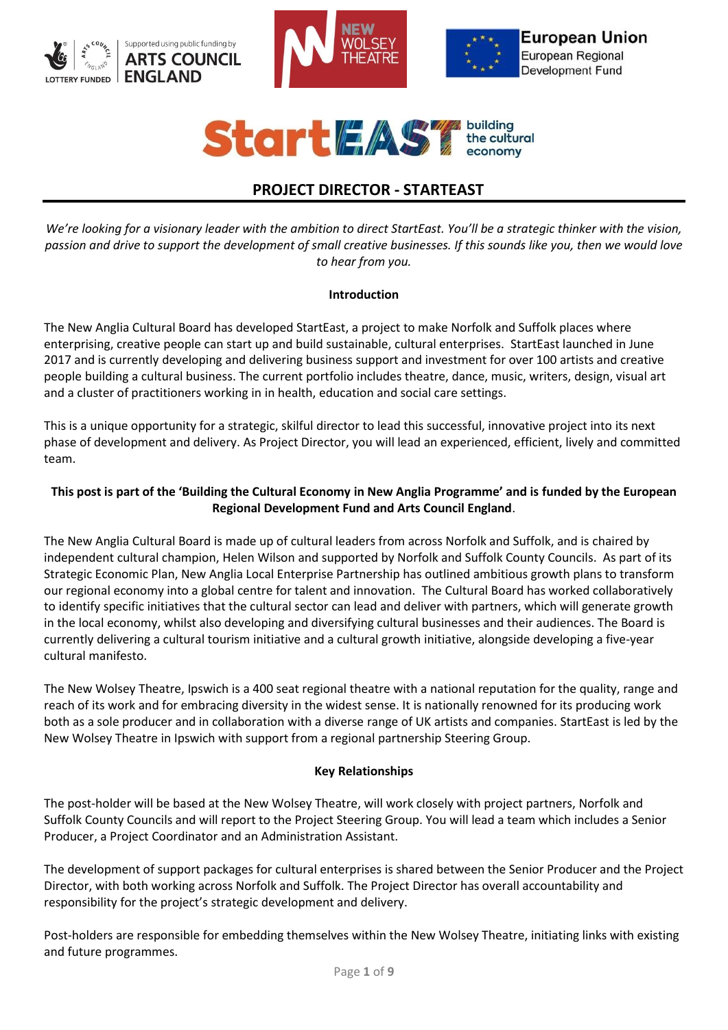







# **PROJECT DIRECTOR - STARTEAST**

*We're looking for a visionary leader with the ambition to direct StartEast. You'll be a strategic thinker with the vision, passion and drive to support the development of small creative businesses. If this sounds like you, then we would love to hear from you.*

#### **Introduction**

The New Anglia Cultural Board has developed StartEast, a project to make Norfolk and Suffolk places where enterprising, creative people can start up and build sustainable, cultural enterprises. StartEast launched in June 2017 and is currently developing and delivering business support and investment for over 100 artists and creative people building a cultural business. The current portfolio includes theatre, dance, music, writers, design, visual art and a cluster of practitioners working in in health, education and social care settings.

This is a unique opportunity for a strategic, skilful director to lead this successful, innovative project into its next phase of development and delivery. As Project Director, you will lead an experienced, efficient, lively and committed team.

# **This post is part of the 'Building the Cultural Economy in New Anglia Programme' and is funded by the European Regional Development Fund and Arts Council England**.

The New Anglia Cultural Board is made up of cultural leaders from across Norfolk and Suffolk, and is chaired by independent cultural champion, Helen Wilson and supported by Norfolk and Suffolk County Councils. As part of its Strategic Economic Plan, New Anglia Local Enterprise Partnership has outlined ambitious growth plans to transform our regional economy into a global centre for talent and innovation. The Cultural Board has worked collaboratively to identify specific initiatives that the cultural sector can lead and deliver with partners, which will generate growth in the local economy, whilst also developing and diversifying cultural businesses and their audiences. The Board is currently delivering a cultural tourism initiative and a cultural growth initiative, alongside developing a five-year cultural manifesto.

The New Wolsey Theatre, Ipswich is a 400 seat regional theatre with a national reputation for the quality, range and reach of its work and for embracing diversity in the widest sense. It is nationally renowned for its producing work both as a sole producer and in collaboration with a diverse range of UK artists and companies. StartEast is led by the New Wolsey Theatre in Ipswich with support from a regional partnership Steering Group.

# **Key Relationships**

The post-holder will be based at the New Wolsey Theatre, will work closely with project partners, Norfolk and Suffolk County Councils and will report to the Project Steering Group. You will lead a team which includes a Senior Producer, a Project Coordinator and an Administration Assistant.

The development of support packages for cultural enterprises is shared between the Senior Producer and the Project Director, with both working across Norfolk and Suffolk. The Project Director has overall accountability and responsibility for the project's strategic development and delivery.

Post-holders are responsible for embedding themselves within the New Wolsey Theatre, initiating links with existing and future programmes.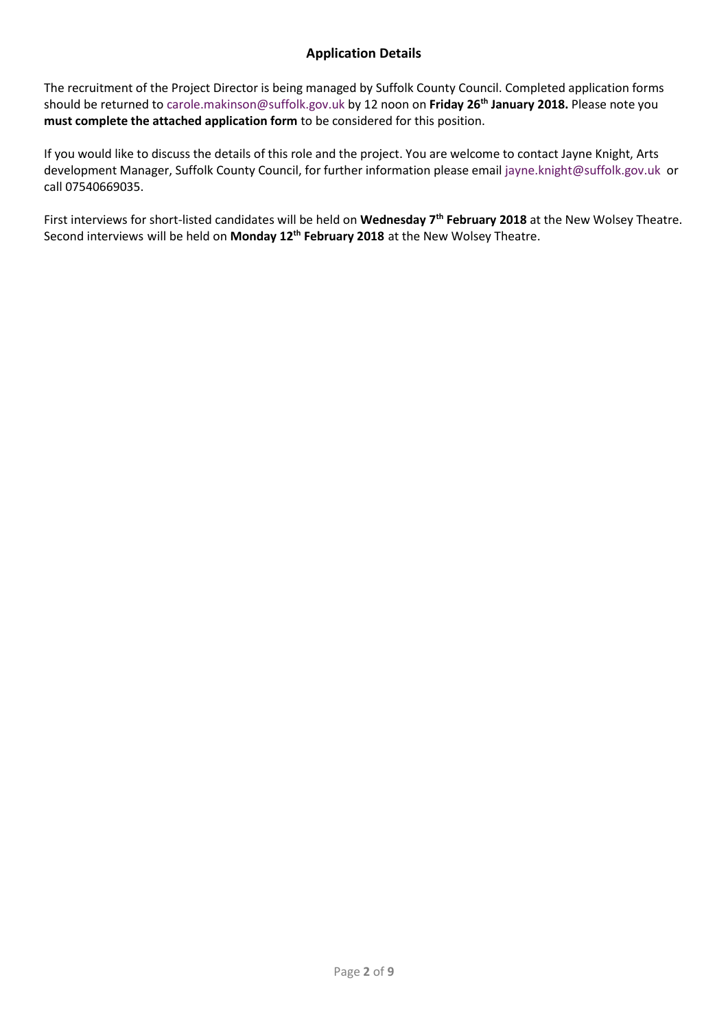# **Application Details**

The recruitment of the Project Director is being managed by Suffolk County Council. Completed application forms should be returned to [carole.makinson@suffolk.gov.uk](mailto:carole.makinson@suffolk.gov.uk) by 12 noon on **Friday 26 th January 2018.** Please note you **must complete the attached application form** to be considered for this position.

If you would like to discuss the details of this role and the project. You are welcome to contact Jayne Knight, Arts development Manager, Suffolk County Council, for further information please email [jayne.knight@suffolk.gov.uk](mailto:jayne.knight@suffolk.gov.uk) or call 07540669035.

First interviews for short-listed candidates will be held on **Wednesday 7th February 2018** at the New Wolsey Theatre. Second interviews will be held on **Monday 12th February 2018** at the New Wolsey Theatre.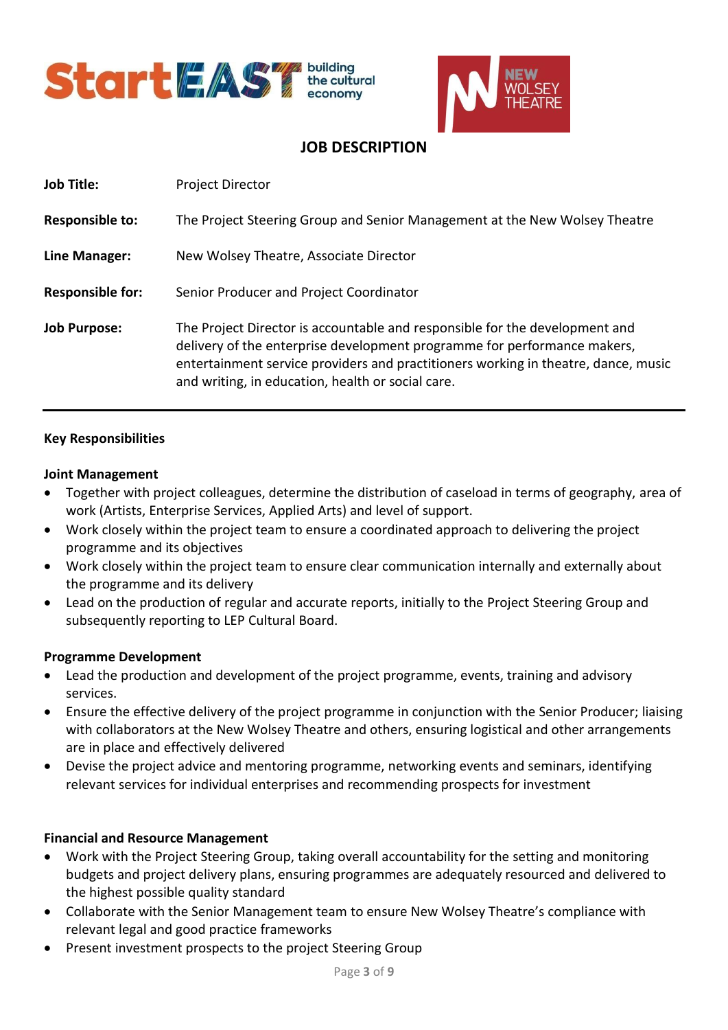



# **JOB DESCRIPTION**

| <b>Job Title:</b>       | <b>Project Director</b>                                                                                                                                                                                                                                                                            |
|-------------------------|----------------------------------------------------------------------------------------------------------------------------------------------------------------------------------------------------------------------------------------------------------------------------------------------------|
| <b>Responsible to:</b>  | The Project Steering Group and Senior Management at the New Wolsey Theatre                                                                                                                                                                                                                         |
| Line Manager:           | New Wolsey Theatre, Associate Director                                                                                                                                                                                                                                                             |
| <b>Responsible for:</b> | Senior Producer and Project Coordinator                                                                                                                                                                                                                                                            |
| <b>Job Purpose:</b>     | The Project Director is accountable and responsible for the development and<br>delivery of the enterprise development programme for performance makers,<br>entertainment service providers and practitioners working in theatre, dance, music<br>and writing, in education, health or social care. |

# **Key Responsibilities**

#### **Joint Management**

- Together with project colleagues, determine the distribution of caseload in terms of geography, area of work (Artists, Enterprise Services, Applied Arts) and level of support.
- Work closely within the project team to ensure a coordinated approach to delivering the project programme and its objectives
- Work closely within the project team to ensure clear communication internally and externally about the programme and its delivery
- Lead on the production of regular and accurate reports, initially to the Project Steering Group and subsequently reporting to LEP Cultural Board.

# **Programme Development**

- Lead the production and development of the project programme, events, training and advisory services.
- Ensure the effective delivery of the project programme in conjunction with the Senior Producer; liaising with collaborators at the New Wolsey Theatre and others, ensuring logistical and other arrangements are in place and effectively delivered
- Devise the project advice and mentoring programme, networking events and seminars, identifying relevant services for individual enterprises and recommending prospects for investment

# **Financial and Resource Management**

- Work with the Project Steering Group, taking overall accountability for the setting and monitoring budgets and project delivery plans, ensuring programmes are adequately resourced and delivered to the highest possible quality standard
- Collaborate with the Senior Management team to ensure New Wolsey Theatre's compliance with relevant legal and good practice frameworks
- Present investment prospects to the project Steering Group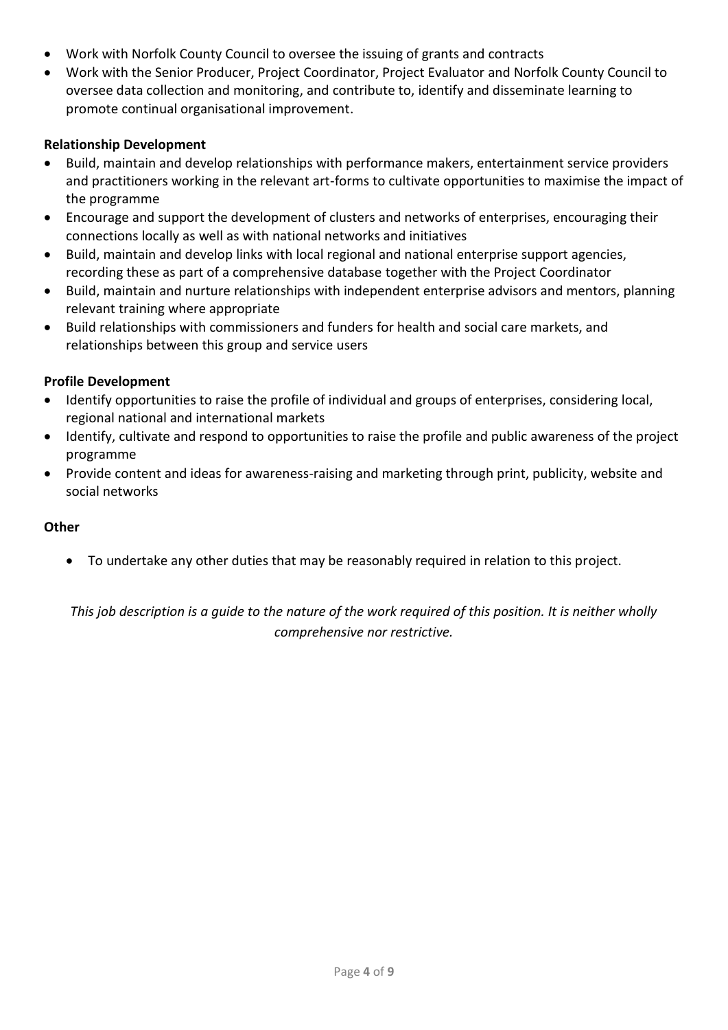- Work with Norfolk County Council to oversee the issuing of grants and contracts
- Work with the Senior Producer, Project Coordinator, Project Evaluator and Norfolk County Council to oversee data collection and monitoring, and contribute to, identify and disseminate learning to promote continual organisational improvement.

# **Relationship Development**

- Build, maintain and develop relationships with performance makers, entertainment service providers and practitioners working in the relevant art-forms to cultivate opportunities to maximise the impact of the programme
- Encourage and support the development of clusters and networks of enterprises, encouraging their connections locally as well as with national networks and initiatives
- Build, maintain and develop links with local regional and national enterprise support agencies, recording these as part of a comprehensive database together with the Project Coordinator
- Build, maintain and nurture relationships with independent enterprise advisors and mentors, planning relevant training where appropriate
- Build relationships with commissioners and funders for health and social care markets, and relationships between this group and service users

# **Profile Development**

- Identify opportunities to raise the profile of individual and groups of enterprises, considering local, regional national and international markets
- Identify, cultivate and respond to opportunities to raise the profile and public awareness of the project programme
- Provide content and ideas for awareness-raising and marketing through print, publicity, website and social networks

# **Other**

• To undertake any other duties that may be reasonably required in relation to this project.

*This job description is a guide to the nature of the work required of this position. It is neither wholly comprehensive nor restrictive.*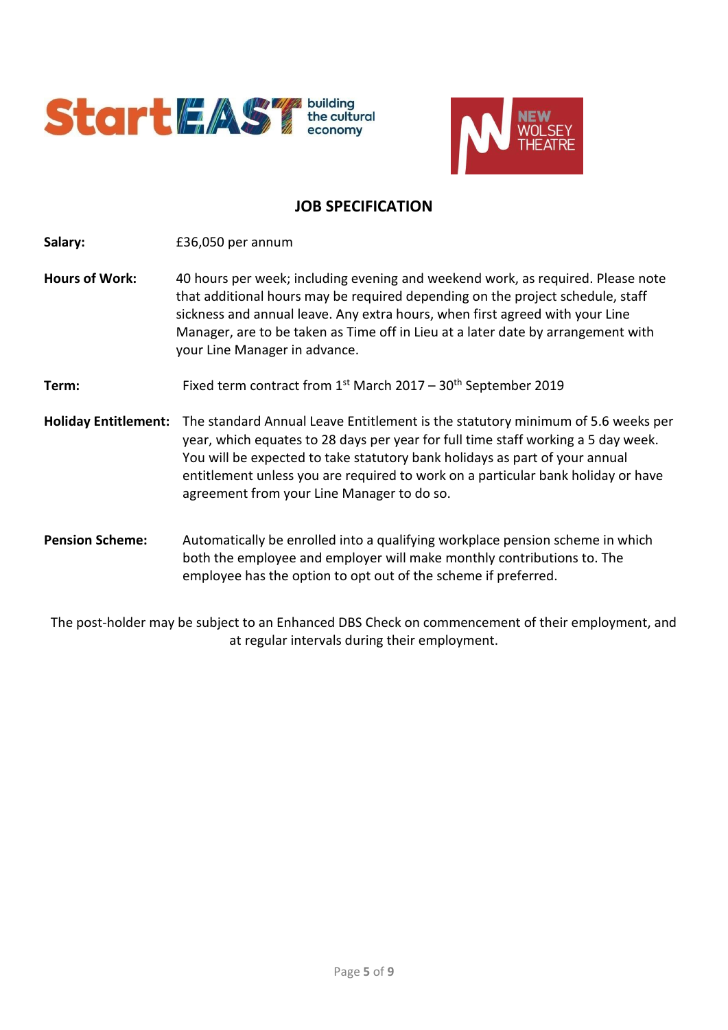



# **JOB SPECIFICATION**

**Salary:** £36,050 per annum

**Hours of Work:** 40 hours per week; including evening and weekend work, as required. Please note that additional hours may be required depending on the project schedule, staff sickness and annual leave. Any extra hours, when first agreed with your Line Manager, are to be taken as Time off in Lieu at a later date by arrangement with your Line Manager in advance.

**Term:** Fixed term contract from 1<sup>st</sup> March 2017 – 30<sup>th</sup> September 2019

**Holiday Entitlement:** The standard Annual Leave Entitlement is the statutory minimum of 5.6 weeks per year, which equates to 28 days per year for full time staff working a 5 day week. You will be expected to take statutory bank holidays as part of your annual entitlement unless you are required to work on a particular bank holiday or have agreement from your Line Manager to do so.

**Pension Scheme:** Automatically be enrolled into a qualifying workplace pension scheme in which both the employee and employer will make monthly contributions to. The employee has the option to opt out of the scheme if preferred.

The post-holder may be subject to an Enhanced DBS Check on commencement of their employment, and at regular intervals during their employment.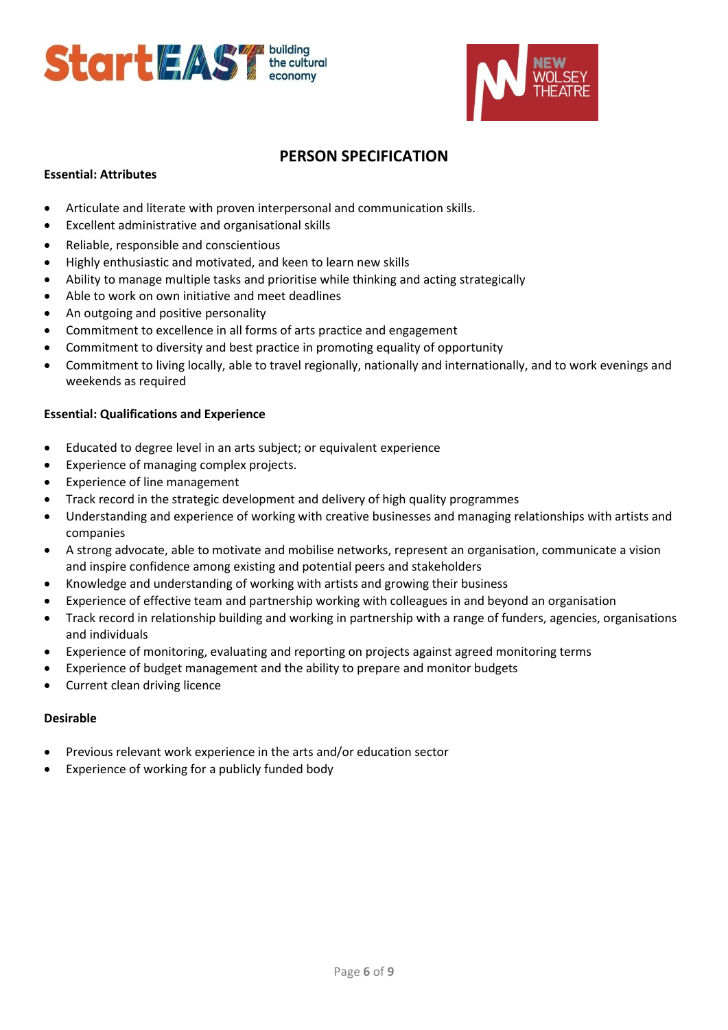



# **PERSON SPECIFICATION**

#### **Essential: Attributes**

- Articulate and literate with proven interpersonal and communication skills.
- Excellent administrative and organisational skills
- Reliable, responsible and conscientious
- Highly enthusiastic and motivated, and keen to learn new skills
- Ability to manage multiple tasks and prioritise while thinking and acting strategically
- Able to work on own initiative and meet deadlines
- An outgoing and positive personality
- Commitment to excellence in all forms of arts practice and engagement
- Commitment to diversity and best practice in promoting equality of opportunity
- Commitment to living locally, able to travel regionally, nationally and internationally, and to work evenings and weekends as required

#### **Essential: Qualifications and Experience**

- Educated to degree level in an arts subject; or equivalent experience
- Experience of managing complex projects.
- Experience of line management
- Track record in the strategic development and delivery of high quality programmes
- Understanding and experience of working with creative businesses and managing relationships with artists and companies
- A strong advocate, able to motivate and mobilise networks, represent an organisation, communicate a vision and inspire confidence among existing and potential peers and stakeholders
- Knowledge and understanding of working with artists and growing their business
- Experience of effective team and partnership working with colleagues in and beyond an organisation
- Track record in relationship building and working in partnership with a range of funders, agencies, organisations and individuals
- Experience of monitoring, evaluating and reporting on projects against agreed monitoring terms
- Experience of budget management and the ability to prepare and monitor budgets
- Current clean driving licence

#### **Desirable**

- Previous relevant work experience in the arts and/or education sector
- Experience of working for a publicly funded body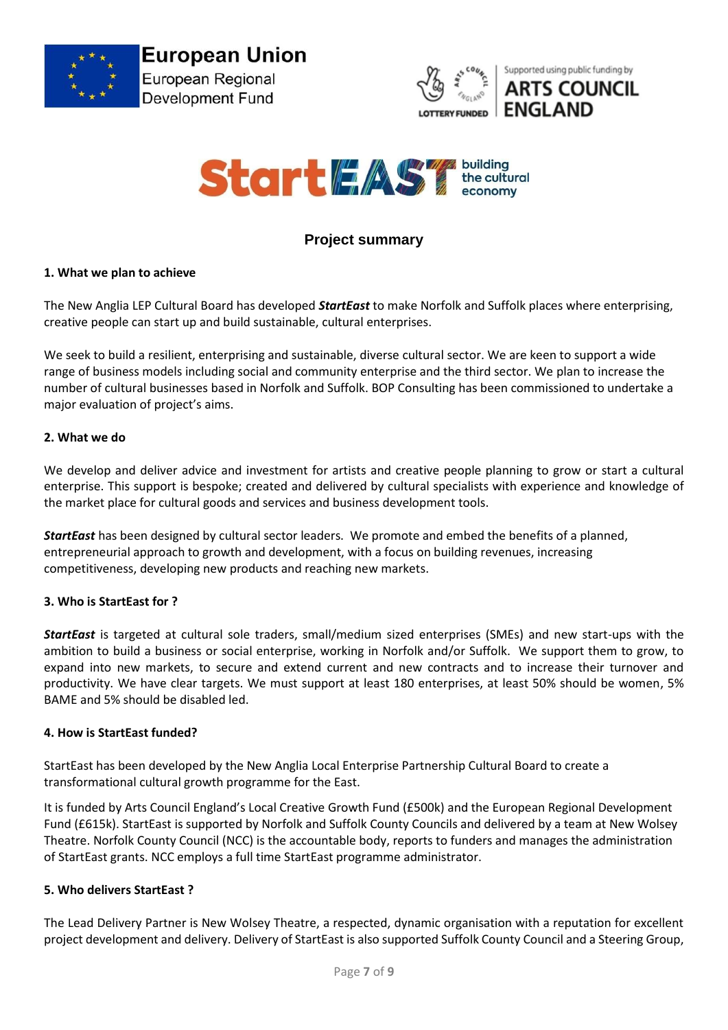





# **Project summary**

#### **1. What we plan to achieve**

The New Anglia LEP Cultural Board has developed *StartEast* to make Norfolk and Suffolk places where enterprising, creative people can start up and build sustainable, cultural enterprises.

We seek to build a resilient, enterprising and sustainable, diverse cultural sector. We are keen to support a wide range of business models including social and community enterprise and the third sector. We plan to increase the number of cultural businesses based in Norfolk and Suffolk. BOP Consulting has been commissioned to undertake a major evaluation of project's aims.

#### **2. What we do**

We develop and deliver advice and investment for artists and creative people planning to grow or start a cultural enterprise. This support is bespoke; created and delivered by cultural specialists with experience and knowledge of the market place for cultural goods and services and business development tools.

*StartEast* has been designed by cultural sector leaders. We promote and embed the benefits of a planned, entrepreneurial approach to growth and development, with a focus on building revenues, increasing competitiveness, developing new products and reaching new markets.

#### **3. Who is StartEast for ?**

*StartEast* is targeted at cultural sole traders, small/medium sized enterprises (SMEs) and new start-ups with the ambition to build a business or social enterprise, working in Norfolk and/or Suffolk. We support them to grow, to expand into new markets, to secure and extend current and new contracts and to increase their turnover and productivity. We have clear targets. We must support at least 180 enterprises, at least 50% should be women, 5% BAME and 5% should be disabled led.

#### **4. How is StartEast funded?**

StartEast has been developed by the New Anglia Local Enterprise Partnership Cultural Board to create a transformational cultural growth programme for the East.

It is funded by Arts Council England's Local Creative Growth Fund (£500k) and the European Regional Development Fund (£615k). StartEast is supported by Norfolk and Suffolk County Councils and delivered by a team at New Wolsey Theatre. Norfolk County Council (NCC) is the accountable body, reports to funders and manages the administration of StartEast grants. NCC employs a full time StartEast programme administrator.

#### **5. Who delivers StartEast ?**

The Lead Delivery Partner is New Wolsey Theatre, a respected, dynamic organisation with a reputation for excellent project development and delivery. Delivery of StartEast is also supported Suffolk County Council and a Steering Group,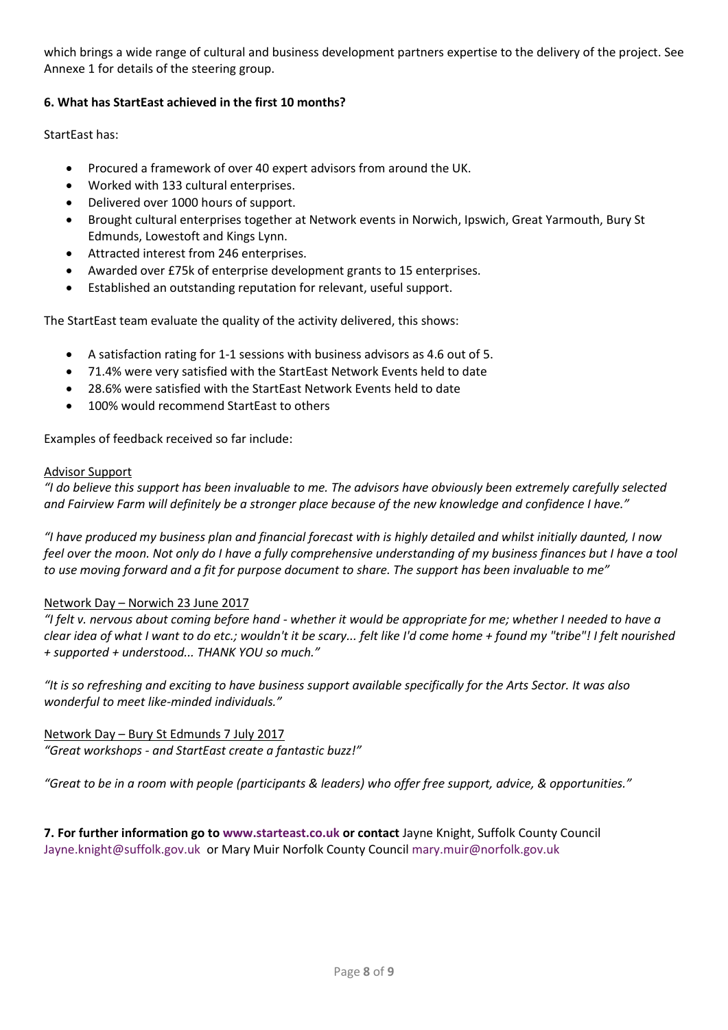which brings a wide range of cultural and business development partners expertise to the delivery of the project. See Annexe 1 for details of the steering group.

# **6. What has StartEast achieved in the first 10 months?**

StartEast has:

- Procured a framework of over 40 expert advisors from around the UK.
- Worked with 133 cultural enterprises.
- Delivered over 1000 hours of support.
- Brought cultural enterprises together at Network events in Norwich, Ipswich, Great Yarmouth, Bury St Edmunds, Lowestoft and Kings Lynn.
- Attracted interest from 246 enterprises.
- Awarded over £75k of enterprise development grants to 15 enterprises.
- Established an outstanding reputation for relevant, useful support.

The StartEast team evaluate the quality of the activity delivered, this shows:

- A satisfaction rating for 1-1 sessions with business advisors as 4.6 out of 5.
- 71.4% were very satisfied with the StartEast Network Events held to date
- 28.6% were satisfied with the StartEast Network Events held to date
- 100% would recommend StartEast to others

Examples of feedback received so far include:

#### Advisor Support

*"I do believe this support has been invaluable to me. The advisors have obviously been extremely carefully selected and Fairview Farm will definitely be a stronger place because of the new knowledge and confidence I have."* 

*"I have produced my business plan and financial forecast with is highly detailed and whilst initially daunted, I now*  feel over the moon. Not only do I have a fully comprehensive understanding of my business finances but I have a tool *to use moving forward and a fit for purpose document to share. The support has been invaluable to me"*

# Network Day – Norwich 23 June 2017

*"I felt v. nervous about coming before hand - whether it would be appropriate for me; whether I needed to have a clear idea of what I want to do etc.; wouldn't it be scary... felt like I'd come home + found my "tribe"! I felt nourished + supported + understood... THANK YOU so much."*

*"It is so refreshing and exciting to have business support available specifically for the Arts Sector. It was also wonderful to meet like-minded individuals."*

Network Day – Bury St Edmunds 7 July 2017 *"Great workshops - and StartEast create a fantastic buzz!"*

*"Great to be in a room with people (participants & leaders) who offer free support, advice, & opportunities."*

**7. For further information go to [www.starteast.co.uk](http://www.starteast.co.uk/) or contact** Jayne Knight, Suffolk County Council [Jayne.knight@suffolk.gov.uk](mailto:Jayne.knight@suffolk.gov.uk) or Mary Muir Norfolk County Council [mary.muir@norfolk.gov.uk](mailto:mary.muir@norfolk.gov.uk)